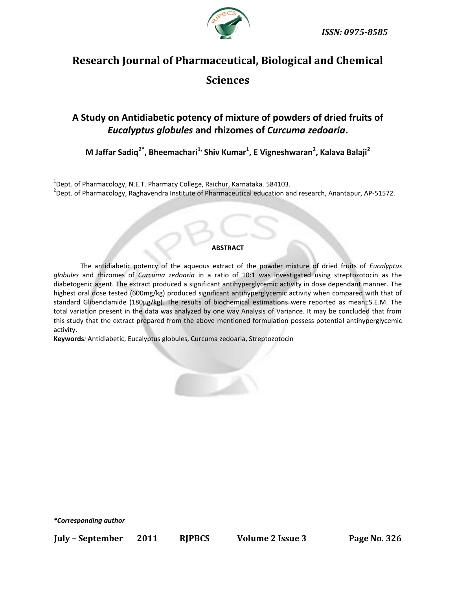

# **Research Journal of Pharmaceutical, Biological and Chemical Sciences**

# **A Study on Antidiabetic potency of mixture of powders of dried fruits of**  *Eucalyptus globules* **and rhizomes of** *Curcuma zedoaria***.**

**M Jaffar Sadiq2\*, Bheemachari1, Shiv Kumar<sup>1</sup> , E Vigneshwaran<sup>2</sup> , Kalava Balaji<sup>2</sup>**

 $^{1}$ Dept. of Pharmacology, N.E.T. Pharmacy College, Raichur, Karnataka. 584103. <sup>2</sup>Dept. of Pharmacology, Raghavendra Institute of Pharmaceutical education and research, Anantapur, AP-51572.

#### **ABSTRACT**

The antidiabetic potency of the aqueous extract of the powder mixture of dried fruits of *Eucalyptus globules* and rhizomes of *Curcuma zedoaria* in a ratio of 10:1 was investigated using streptozotocin as the diabetogenic agent. The extract produced a significant antihyperglycemic activity in dose dependant manner. The highest oral dose tested (600mg/kg) produced significant antihyperglycemic activity when compared with that of standard Glibenclamide (180µg/kg). The results of biochemical estimations were reported as mean±S.E.M. The total variation present in the data was analyzed by one way Analysis of Variance. It may be concluded that from this study that the extract prepared from the above mentioned formulation possess potential antihyperglycemic activity.

**Keywords***:* Antidiabetic, Eucalyptus globules, Curcuma zedoaria, Streptozotocin



*\*Corresponding author*

**July – September 2011 RJPBCS Volume 2 Issue 3 Page No. 326**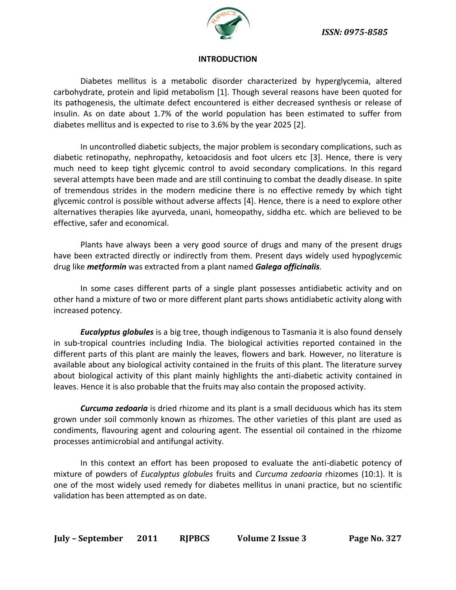

#### **INTRODUCTION**

Diabetes mellitus is a metabolic disorder characterized by hyperglycemia, altered carbohydrate, protein and lipid metabolism [1]. Though several reasons have been quoted for its pathogenesis, the ultimate defect encountered is either decreased synthesis or release of insulin. As on date about 1.7% of the world population has been estimated to suffer from diabetes mellitus and is expected to rise to 3.6% by the year 2025 [2].

In uncontrolled diabetic subjects, the major problem is secondary complications, such as diabetic retinopathy, nephropathy, ketoacidosis and foot ulcers etc [3]. Hence, there is very much need to keep tight glycemic control to avoid secondary complications. In this regard several attempts have been made and are still continuing to combat the deadly disease. In spite of tremendous strides in the modern medicine there is no effective remedy by which tight glycemic control is possible without adverse affects [4]. Hence, there is a need to explore other alternatives therapies like ayurveda, unani, homeopathy, siddha etc. which are believed to be effective, safer and economical.

Plants have always been a very good source of drugs and many of the present drugs have been extracted directly or indirectly from them. Present days widely used hypoglycemic drug like *metformin* was extracted from a plant named *Galega officinalis.*

In some cases different parts of a single plant possesses antidiabetic activity and on other hand a mixture of two or more different plant parts shows antidiabetic activity along with increased potency.

*Eucalyptus globules* is a big tree, though indigenous to Tasmania it is also found densely in sub-tropical countries including India. The biological activities reported contained in the different parts of this plant are mainly the leaves, flowers and bark. However, no literature is available about any biological activity contained in the fruits of this plant. The literature survey about biological activity of this plant mainly highlights the anti-diabetic activity contained in leaves. Hence it is also probable that the fruits may also contain the proposed activity.

*Curcuma zedoaria* is dried rhizome and its plant is a small deciduous which has its stem grown under soil commonly known as rhizomes. The other varieties of this plant are used as condiments, flavouring agent and colouring agent. The essential oil contained in the rhizome processes antimicrobial and antifungal activity.

In this context an effort has been proposed to evaluate the anti-diabetic potency of mixture of powders of *Eucalyptus globules* fruits and *Curcuma zedoaria* rhizomes (10:1). It is one of the most widely used remedy for diabetes mellitus in unani practice, but no scientific validation has been attempted as on date.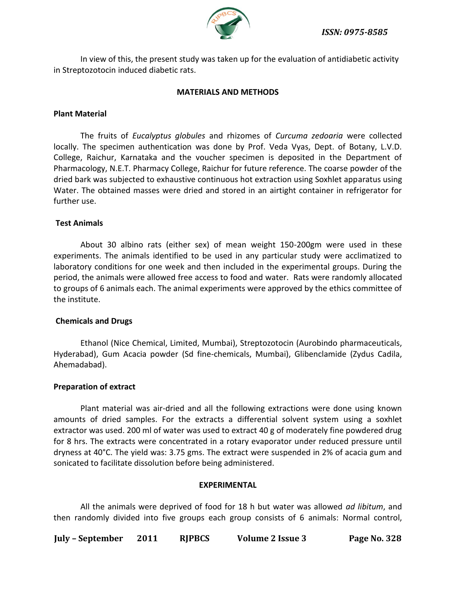*ISSN: 0975-8585*



In view of this, the present study was taken up for the evaluation of antidiabetic activity in Streptozotocin induced diabetic rats.

# **MATERIALS AND METHODS**

# **Plant Material**

The fruits of *Eucalyptus globules* and rhizomes of *Curcuma zedoaria* were collected locally. The specimen authentication was done by Prof. Veda Vyas, Dept. of Botany, L.V.D. College, Raichur, Karnataka and the voucher specimen is deposited in the Department of Pharmacology, N.E.T. Pharmacy College, Raichur for future reference. The coarse powder of the dried bark was subjected to exhaustive continuous hot extraction using Soxhlet apparatus using Water. The obtained masses were dried and stored in an airtight container in refrigerator for further use.

#### **Test Animals**

About 30 albino rats (either sex) of mean weight 150-200gm were used in these experiments. The animals identified to be used in any particular study were acclimatized to laboratory conditions for one week and then included in the experimental groups. During the period, the animals were allowed free access to food and water. Rats were randomly allocated to groups of 6 animals each. The animal experiments were approved by the ethics committee of the institute.

#### **Chemicals and Drugs**

Ethanol (Nice Chemical, Limited, Mumbai), Streptozotocin (Aurobindo pharmaceuticals, Hyderabad), Gum Acacia powder (Sd fine-chemicals, Mumbai), Glibenclamide (Zydus Cadila, Ahemadabad).

#### **Preparation of extract**

Plant material was air-dried and all the following extractions were done using known amounts of dried samples. For the extracts a differential solvent system using a soxhlet extractor was used. 200 ml of water was used to extract 40 g of moderately fine powdered drug for 8 hrs. The extracts were concentrated in a rotary evaporator under reduced pressure until dryness at 40°C. The yield was: 3.75 gms. The extract were suspended in 2% of acacia gum and sonicated to facilitate dissolution before being administered.

#### **EXPERIMENTAL**

All the animals were deprived of food for 18 h but water was allowed *ad libitum*, and then randomly divided into five groups each group consists of 6 animals: Normal control,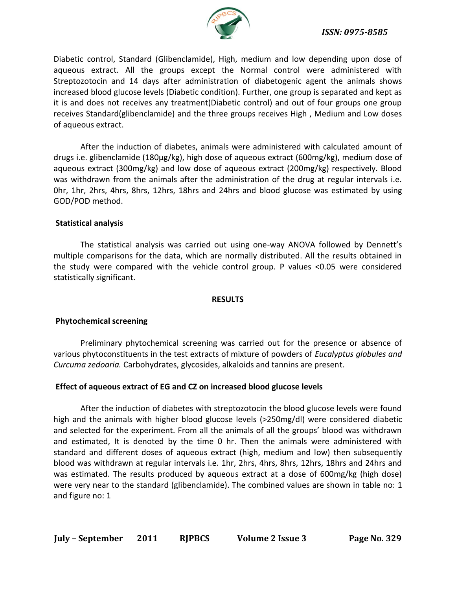

Diabetic control, Standard (Glibenclamide), High, medium and low depending upon dose of aqueous extract. All the groups except the Normal control were administered with Streptozotocin and 14 days after administration of diabetogenic agent the animals shows increased blood glucose levels (Diabetic condition). Further, one group is separated and kept as it is and does not receives any treatment(Diabetic control) and out of four groups one group receives Standard(glibenclamide) and the three groups receives High , Medium and Low doses of aqueous extract.

After the induction of diabetes, animals were administered with calculated amount of drugs i.e. glibenclamide (180µg/kg), high dose of aqueous extract (600mg/kg), medium dose of aqueous extract (300mg/kg) and low dose of aqueous extract (200mg/kg) respectively. Blood was withdrawn from the animals after the administration of the drug at regular intervals i.e. 0hr, 1hr, 2hrs, 4hrs, 8hrs, 12hrs, 18hrs and 24hrs and blood glucose was estimated by using GOD/POD method.

# **Statistical analysis**

The statistical analysis was carried out using one-way ANOVA followed by Dennett's multiple comparisons for the data, which are normally distributed. All the results obtained in the study were compared with the vehicle control group. P values <0.05 were considered statistically significant.

# **RESULTS**

# **Phytochemical screening**

Preliminary phytochemical screening was carried out for the presence or absence of various phytoconstituents in the test extracts of mixture of powders of *Eucalyptus globules and Curcuma zedoaria.* Carbohydrates, glycosides, alkaloids and tannins are present.

# **Effect of aqueous extract of EG and CZ on increased blood glucose levels**

After the induction of diabetes with streptozotocin the blood glucose levels were found high and the animals with higher blood glucose levels (>250mg/dl) were considered diabetic and selected for the experiment. From all the animals of all the groups' blood was withdrawn and estimated, It is denoted by the time 0 hr. Then the animals were administered with standard and different doses of aqueous extract (high, medium and low) then subsequently blood was withdrawn at regular intervals i.e. 1hr, 2hrs, 4hrs, 8hrs, 12hrs, 18hrs and 24hrs and was estimated. The results produced by aqueous extract at a dose of 600mg/kg (high dose) were very near to the standard (glibenclamide). The combined values are shown in table no: 1 and figure no: 1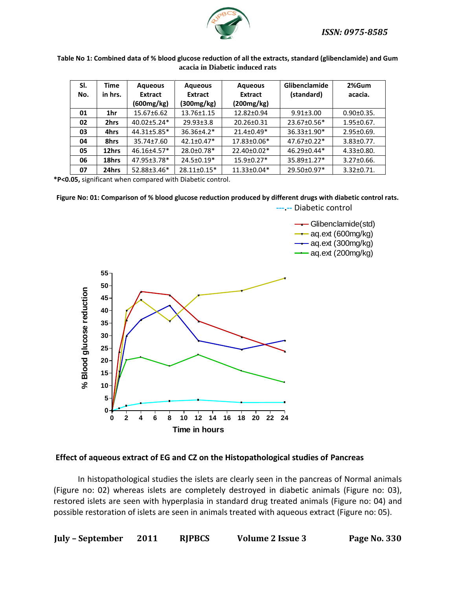*ISSN: 0975-8585*



#### **Table No 1: Combined data of % blood glucose reduction of all the extracts, standard (glibenclamide) and Gum acacia in Diabetic induced rats**

| SI. | Time    | <b>Aqueous</b>    | <b>Aqueous</b>   | <b>Aqueous</b>    | <b>Glibenclamide</b> | 2%Gum             |
|-----|---------|-------------------|------------------|-------------------|----------------------|-------------------|
| No. | in hrs. | Extract           | <b>Extract</b>   | <b>Extract</b>    | (standard)           | acacia.           |
|     |         | (600mg/kg)        | (300mg/kg)       | (200mg/kg)        |                      |                   |
| 01  | 1hr     | $15.67 \pm 6.62$  | 13.76±1.15       | 12.82±0.94        | $9.91 \pm 3.00$      | $0.90 \pm 0.35$ . |
| 02  | 2hrs    | $40.02 \pm 5.24*$ | $29.93 \pm 3.8$  | 20.26±0.31        | 23.67±0.56*          | $1.95 \pm 0.67$ . |
| 03  | 4hrs    | 44.31±5.85*       | $36.36 \pm 4.2*$ | $21.4 \pm 0.49*$  | $36.33 \pm 1.90*$    | $2.95 \pm 0.69$ . |
| 04  | 8hrs    | 35.74±7.60        | $42.1 \pm 0.47*$ | 17.83±0.06*       | $47.67 \pm 0.22$ *   | $3.83 \pm 0.77$ . |
| 05  | 12hrs   | 46.16±4.57*       | 28.0±0.78*       | 22.40±0.02*       | $46.29 \pm 0.44*$    | $4.33 \pm 0.80$ . |
| 06  | 18hrs   | 47.95±3.78*       | $24.5 \pm 0.19*$ | $15.9 \pm 0.27*$  | $35.89 \pm 1.27$ *   | $3.27 \pm 0.66$ . |
| 07  | 24hrs   | 52.88±3.46*       | 28.11±0.15*      | $11.33 \pm 0.04*$ | 29.50±0.97*          | $3.32 \pm 0.71$ . |

**\*P<0.05,** significant when compared with Diabetic control.

# **Figure No: 01: Comparison of % blood glucose reduction produced by different drugs with diabetic control rats.**



 **---.--** Diabetic control

Glibenclamide(std)

 $\rightarrow$  aq.ext (600mg/kg)

 $-$  aq.ext (300mg/kg)

 $\rightarrow$  aq.ext (200mg/kg)

#### **Effect of aqueous extract of EG and CZ on the Histopathological studies of Pancreas**

In histopathological studies the islets are clearly seen in the pancreas of Normal animals (Figure no: 02) whereas islets are completely destroyed in diabetic animals (Figure no: 03), restored islets are seen with hyperplasia in standard drug treated animals (Figure no: 04) and possible restoration of islets are seen in animals treated with aqueous extract (Figure no: 05).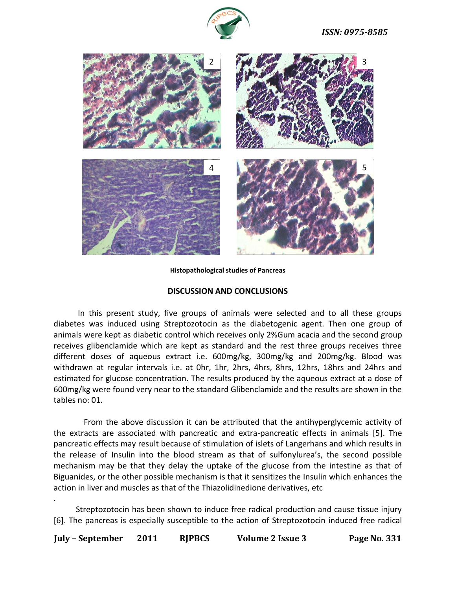



**Histopathological studies of Pancreas**

#### **DISCUSSION AND CONCLUSIONS**

In this present study, five groups of animals were selected and to all these groups diabetes was induced using Streptozotocin as the diabetogenic agent. Then one group of animals were kept as diabetic control which receives only 2%Gum acacia and the second group receives glibenclamide which are kept as standard and the rest three groups receives three different doses of aqueous extract i.e. 600mg/kg, 300mg/kg and 200mg/kg. Blood was withdrawn at regular intervals i.e. at 0hr, 1hr, 2hrs, 4hrs, 8hrs, 12hrs, 18hrs and 24hrs and estimated for glucose concentration. The results produced by the aqueous extract at a dose of 600mg/kg were found very near to the standard Glibenclamide and the results are shown in the tables no: 01.

From the above discussion it can be attributed that the antihyperglycemic activity of the extracts are associated with pancreatic and extra-pancreatic effects in animals [5]. The pancreatic effects may result because of stimulation of islets of Langerhans and which results in the release of Insulin into the blood stream as that of sulfonylurea's, the second possible mechanism may be that they delay the uptake of the glucose from the intestine as that of Biguanides, or the other possible mechanism is that it sensitizes the Insulin which enhances the action in liver and muscles as that of the Thiazolidinedione derivatives, etc

 Streptozotocin has been shown to induce free radical production and cause tissue injury [6]. The pancreas is especially susceptible to the action of Streptozotocin induced free radical

.